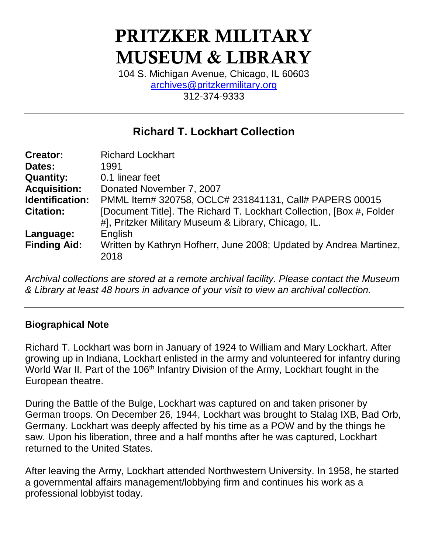# PRITZKER MILITARY MUSEUM & LIBRARY

104 S. Michigan Avenue, Chicago, IL 60603 [archives@pritzkermilitary.org](mailto:archives@pritzkermilitary.org) 312-374-9333

# **Richard T. Lockhart Collection**

| <b>Creator:</b>     | <b>Richard Lockhart</b>                                              |
|---------------------|----------------------------------------------------------------------|
| Dates:              | 1991                                                                 |
| <b>Quantity:</b>    | 0.1 linear feet                                                      |
| <b>Acquisition:</b> | Donated November 7, 2007                                             |
| Identification:     | PMML Item# 320758, OCLC# 231841131, Call# PAPERS 00015               |
| <b>Citation:</b>    | [Document Title]. The Richard T. Lockhart Collection, [Box #, Folder |
|                     | #], Pritzker Military Museum & Library, Chicago, IL.                 |
| Language:           | English                                                              |
| <b>Finding Aid:</b> | Written by Kathryn Hofherr, June 2008; Updated by Andrea Martinez,   |
|                     | 2018                                                                 |

*Archival collections are stored at a remote archival facility. Please contact the Museum & Library at least 48 hours in advance of your visit to view an archival collection.*

# **Biographical Note**

Richard T. Lockhart was born in January of 1924 to William and Mary Lockhart. After growing up in Indiana, Lockhart enlisted in the army and volunteered for infantry during World War II. Part of the 106<sup>th</sup> Infantry Division of the Army, Lockhart fought in the European theatre.

During the Battle of the Bulge, Lockhart was captured on and taken prisoner by German troops. On December 26, 1944, Lockhart was brought to Stalag IXB, Bad Orb, Germany. Lockhart was deeply affected by his time as a POW and by the things he saw. Upon his liberation, three and a half months after he was captured, Lockhart returned to the United States.

After leaving the Army, Lockhart attended Northwestern University. In 1958, he started a governmental affairs management/lobbying firm and continues his work as a professional lobbyist today.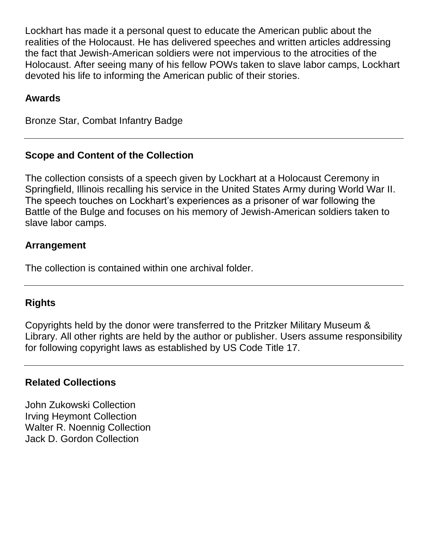Lockhart has made it a personal quest to educate the American public about the realities of the Holocaust. He has delivered speeches and written articles addressing the fact that Jewish-American soldiers were not impervious to the atrocities of the Holocaust. After seeing many of his fellow POWs taken to slave labor camps, Lockhart devoted his life to informing the American public of their stories.

#### **Awards**

Bronze Star, Combat Infantry Badge

# **Scope and Content of the Collection**

The collection consists of a speech given by Lockhart at a Holocaust Ceremony in Springfield, Illinois recalling his service in the United States Army during World War II. The speech touches on Lockhart's experiences as a prisoner of war following the Battle of the Bulge and focuses on his memory of Jewish-American soldiers taken to slave labor camps.

#### **Arrangement**

The collection is contained within one archival folder.

# **Rights**

Copyrights held by the donor were transferred to the Pritzker Military Museum & Library. All other rights are held by the author or publisher. Users assume responsibility for following copyright laws as established by US Code Title 17.

#### **Related Collections**

John Zukowski Collection Irving Heymont Collection Walter R. Noennig Collection Jack D. Gordon Collection